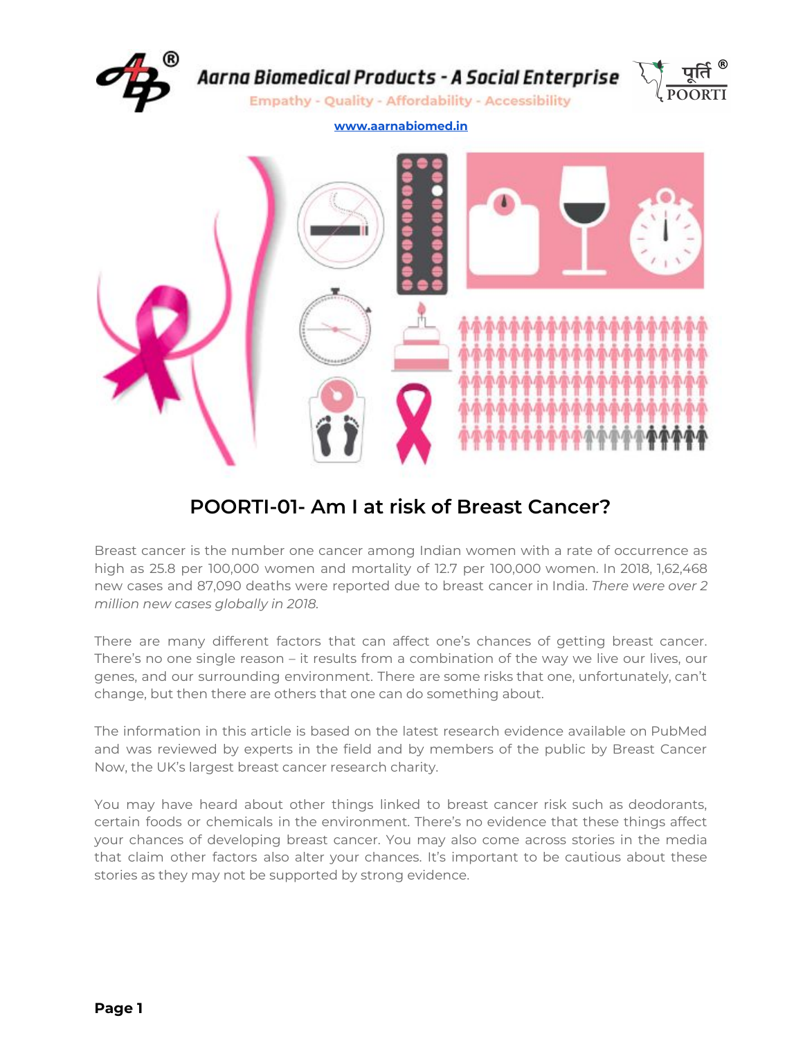

Aarna Biomedical Products - A Social Enterprise



**Empathy - Quality - Affordability - Accessibility** 

**[www.aarnabiomed.in](http://www.aarnabiomed.in/)**



#### **POORTI-01- Am I at risk of Breast Cancer?**

Breast cancer is the number one cancer among Indian women with a rate of occurrence as high as 25.8 per 100,000 women and mortality of 12.7 per 100,000 women. In 2018, 1,62,468 new cases and 87,090 deaths were reported due to breast cancer in India. *There were over 2 million new cases globally in 2018.*

There are many different factors that can affect one's chances of getting breast cancer. There's no one single reason – it results from a combination of the way we live our lives, our genes, and our surrounding environment. There are some risks that one, unfortunately, can't change, but then there are others that one can do something about.

The information in this article is based on the latest research evidence available on PubMed and was reviewed by experts in the field and by members of the public by Breast Cancer Now, the UK's largest breast cancer research charity.

You may have heard about other things linked to breast cancer risk such as deodorants, certain foods or chemicals in the environment. There's no evidence that these things affect your chances of developing breast cancer. You may also come across stories in the media that claim other factors also alter your chances. It's important to be cautious about these stories as they may not be supported by strong evidence.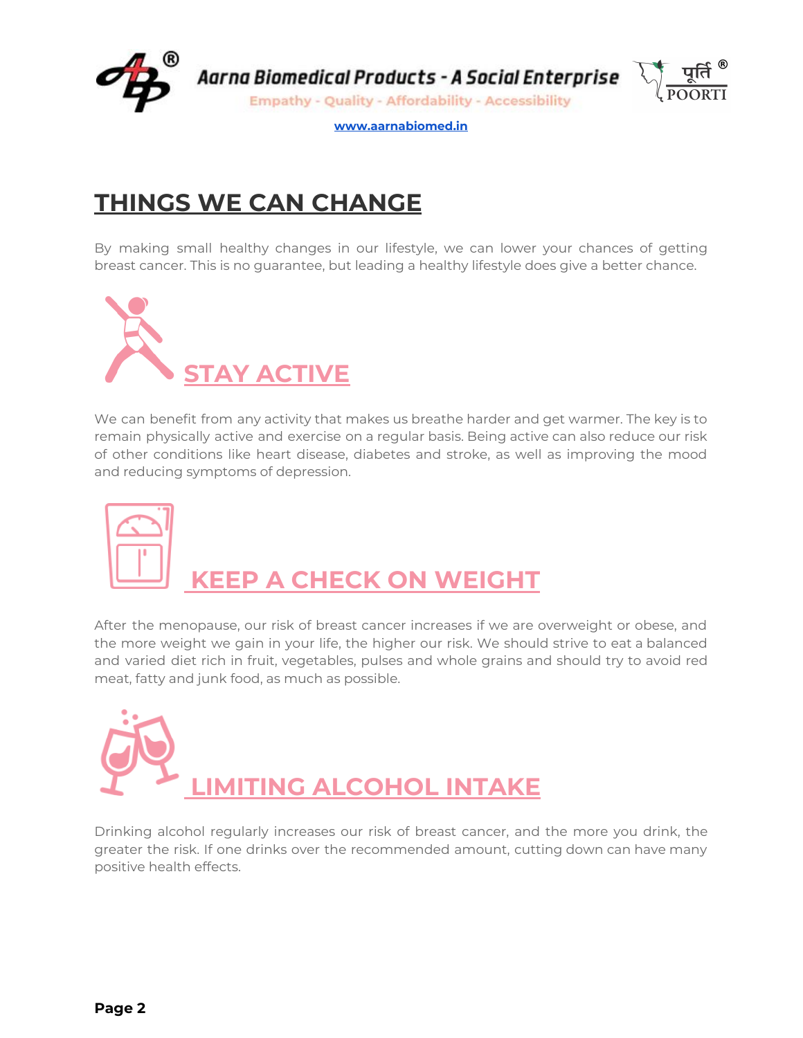

**[www.aarnabiomed.in](http://www.aarnabiomed.in/)**

## **THINGS WE CAN CHANGE**

By making small healthy changes in our lifestyle, we can lower your chances of getting breast cancer. This is no guarantee, but leading a healthy lifestyle does give a better chance.



We can benefit from any activity that makes us breathe harder and get warmer. The key is to remain physically active and exercise on a regular basis. Being active can also reduce our risk of other conditions like heart disease, diabetes and stroke, as well as improving the mood and reducing symptoms of depression.



After the menopause, our risk of breast cancer increases if we are overweight or obese, and the more weight we gain in your life, the higher our risk. We should strive to eat a balanced and varied diet rich in fruit, vegetables, pulses and whole grains and should try to avoid red meat, fatty and junk food, as much as possible.

**LIMITING ALCOHOL INTAKE**

Drinking alcohol regularly increases our risk of breast cancer, and the more you drink, the greater the risk. If one drinks over the recommended amount, cutting down can have many positive health effects.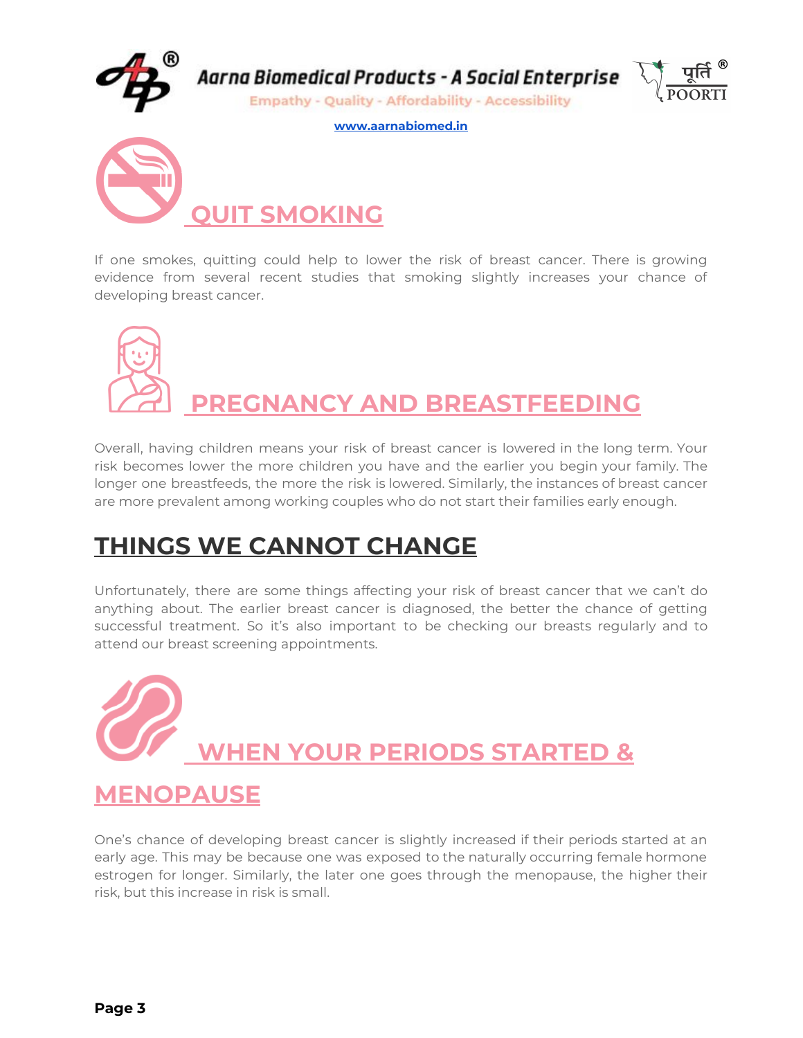

Aarna Biomedical Products - A Social Enterprise

**Empathy - Quality - Affordability - Accessibility** 

**[www.aarnabiomed.in](http://www.aarnabiomed.in/)**



If one smokes, quitting could help to lower the risk of breast cancer. There is growing evidence from several recent studies that smoking slightly increases your chance of developing breast cancer.



Overall, having children means your risk of breast cancer is lowered in the long term. Your risk becomes lower the more children you have and the earlier you begin your family. The longer one breastfeeds, the more the risk is lowered. Similarly, the instances of breast cancer are more prevalent among working couples who do not start their families early enough.

### **THINGS WE CANNOT CHANGE**

Unfortunately, there are some things affecting your risk of breast cancer that we can't do anything about. The earlier breast cancer is diagnosed, the better the chance of getting successful treatment. So it's also important to be checking our breasts regularly and to attend our breast screening appointments.

**WHEN YOUR PERIODS STARTED & MENOPAUSE**

One's chance of developing breast cancer is slightly increased if their periods started at an early age. This may be because one was exposed to the naturally occurring female hormone estrogen for longer. Similarly, the later one goes through the menopause, the higher their risk, but this increase in risk is small.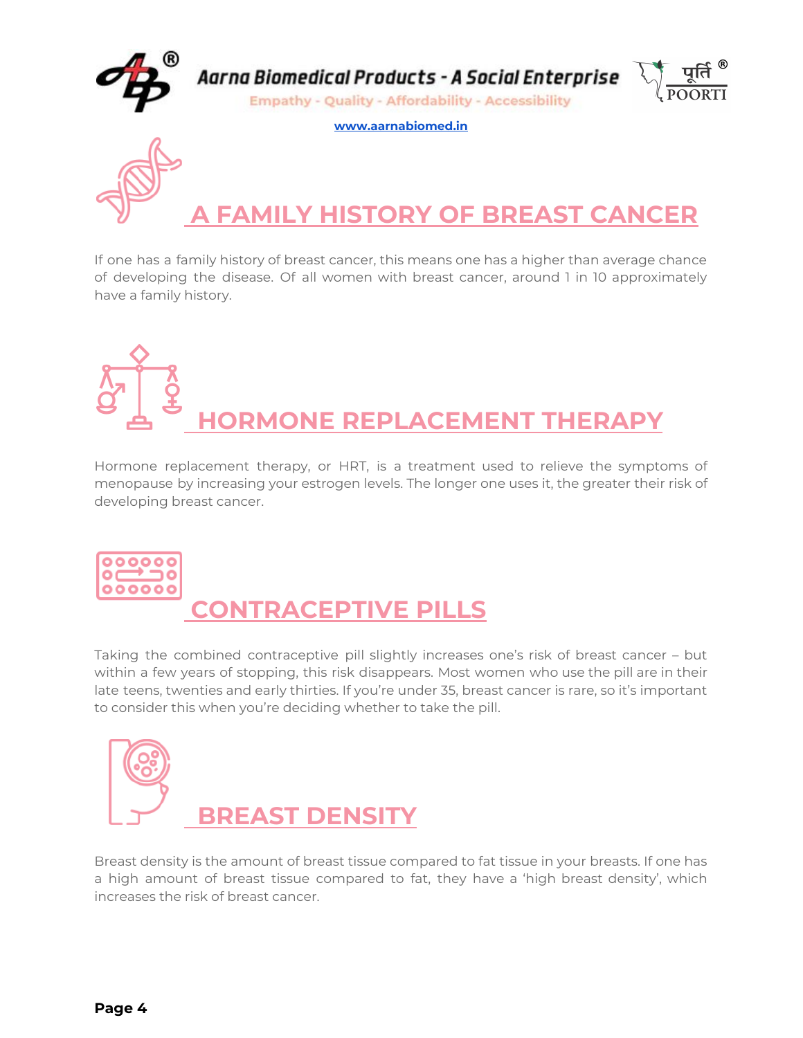



**Empathy - Quality - Affordability - Accessibility** 

**[www.aarnabiomed.in](http://www.aarnabiomed.in/)**



# **A FAMILY HISTORY OF BREAST CANCER**

If one has a family history of breast cancer, this means one has a higher than average chance of developing the disease. Of all women with breast cancer, around 1 in 10 approximately have a family history.



Hormone replacement therapy, or HRT, is a treatment used to relieve the symptoms of menopause by increasing your estrogen levels. The longer one uses it, the greater their risk of developing breast cancer.



Taking the combined contraceptive pill slightly increases one's risk of breast cancer – but within a few years of stopping, this risk disappears. Most women who use the pill are in their late teens, twenties and early thirties. If you're under 35, breast cancer is rare, so it's important to consider this when you're deciding whether to take the pill.



Breast density is the amount of breast tissue compared to fat tissue in your breasts. If one has a high amount of breast tissue compared to fat, they have a 'high breast density', which increases the risk of breast cancer.